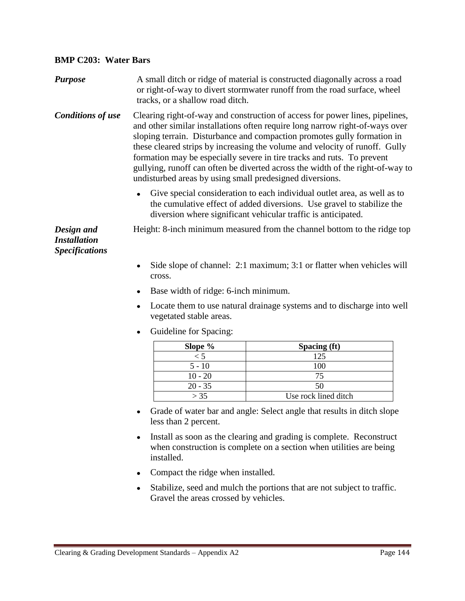## **BMP C203: Water Bars**

| <b>Purpose</b>           | A small ditch or ridge of material is constructed diagonally across a road<br>or right-of-way to divert stormwater runoff from the road surface, wheel<br>tracks, or a shallow road ditch.                                                                                                                                                                                                                                                                                                                  |
|--------------------------|-------------------------------------------------------------------------------------------------------------------------------------------------------------------------------------------------------------------------------------------------------------------------------------------------------------------------------------------------------------------------------------------------------------------------------------------------------------------------------------------------------------|
| <b>Conditions of use</b> | Clearing right-of-way and construction of access for power lines, pipelines,<br>and other similar installations often require long narrow right-of-ways over<br>sloping terrain. Disturbance and compaction promotes gully formation in<br>these cleared strips by increasing the volume and velocity of runoff. Gully<br>$C = \frac{1}{2}$ , $C = \frac{1}{2}$ , $C = \frac{1}{2}$ , $C = \frac{1}{2}$ , $C = \frac{1}{2}$ , $C = \frac{1}{2}$ , $C = \frac{1}{2}$ , $C = \frac{1}{2}$ , $C = \frac{1}{2}$ |

formation may be especially severe in tire tracks and ruts. To prevent gullying, runoff can often be diverted across the width of the right-of-way to undisturbed areas by using small predesigned diversions.

Give special consideration to each individual outlet area, as well as to the cumulative effect of added diversions. Use gravel to stabilize the diversion where significant vehicular traffic is anticipated.

*Design and Installation Specifications* Height: 8-inch minimum measured from the channel bottom to the ridge top.

- Side slope of channel: 2:1 maximum; 3:1 or flatter when vehicles will cross.
- Base width of ridge: 6-inch minimum.
- Locate them to use natural drainage systems and to discharge into well vegetated stable areas.
- Guideline for Spacing:

| Slope $\%$ | Spacing (ft)         |
|------------|----------------------|
| < 5        | 125                  |
| $5 - 10$   | 100                  |
| $10 - 20$  | 75                   |
| $20 - 35$  | 50                   |
| > 35       | Use rock lined ditch |

- Grade of water bar and angle: Select angle that results in ditch slope less than 2 percent.
- Install as soon as the clearing and grading is complete. Reconstruct when construction is complete on a section when utilities are being installed.
- Compact the ridge when installed.
- Stabilize, seed and mulch the portions that are not subject to traffic. Gravel the areas crossed by vehicles.